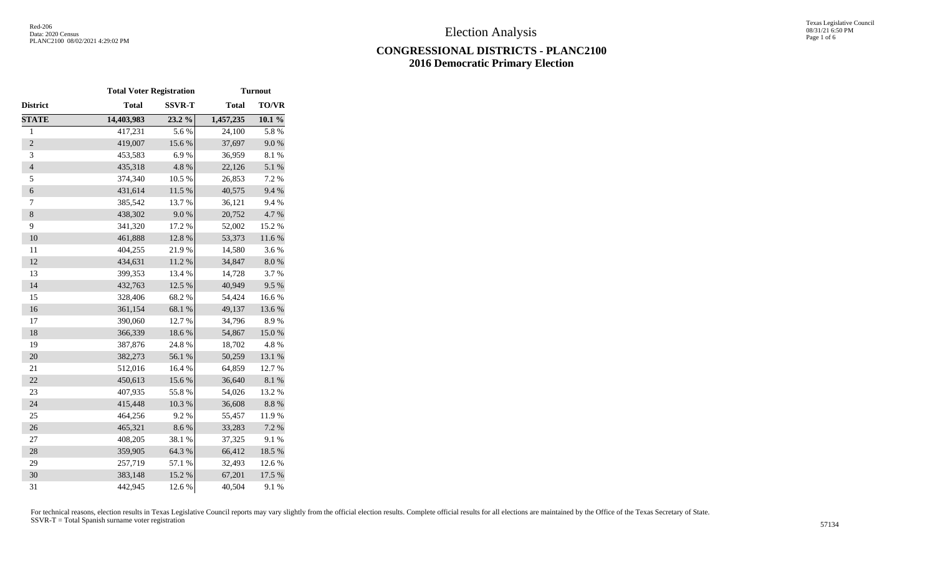# **CONGRESSIONAL DISTRICTS - PLANC2100 2016 Democratic Primary Election**

|                  | <b>Total Voter Registration</b> |               |              | <b>Turnout</b> |
|------------------|---------------------------------|---------------|--------------|----------------|
| District         | <b>Total</b>                    | <b>SSVR-T</b> | <b>Total</b> | TO/VR          |
| <b>STATE</b>     | 14,403,983                      | 23.2 %        | 1,457,235    | 10.1 %         |
| $\mathbf{1}$     | 417,231                         | 5.6%          | 24,100       | 5.8%           |
| $\overline{c}$   | 419,007                         | 15.6%         | 37,697       | 9.0%           |
| 3                | 453,583                         | 6.9%          | 36,959       | 8.1%           |
| $\overline{4}$   | 435,318                         | 4.8%          | 22,126       | 5.1 %          |
| 5                | 374,340                         | 10.5 %        | 26,853       | 7.2 %          |
| $\boldsymbol{6}$ | 431,614                         | 11.5 %        | 40,575       | 9.4%           |
| $\tau$           | 385,542                         | 13.7 %        | 36,121       | 9.4%           |
| $\,8\,$          | 438,302                         | 9.0%          | 20,752       | 4.7 %          |
| 9                | 341,320                         | 17.2 %        | 52,002       | 15.2%          |
| 10               | 461,888                         | 12.8 %        | 53,373       | 11.6 %         |
| 11               | 404,255                         | 21.9%         | 14,580       | 3.6%           |
| 12               | 434,631                         | 11.2 %        | 34,847       | $8.0\ \%$      |
| 13               | 399,353                         | 13.4 %        | 14,728       | 3.7%           |
| 14               | 432,763                         | 12.5 %        | 40,949       | 9.5%           |
| 15               | 328,406                         | 68.2%         | 54,424       | 16.6%          |
| 16               | 361,154                         | 68.1 %        | 49,137       | 13.6 %         |
| 17               | 390,060                         | 12.7 %        | 34,796       | 8.9%           |
| 18               | 366,339                         | 18.6%         | 54,867       | $15.0\ \%$     |
| 19               | 387,876                         | 24.8%         | 18,702       | 4.8 %          |
| 20               | 382,273                         | 56.1 %        | 50,259       | 13.1 %         |
| 21               | 512,016                         | 16.4 %        | 64,859       | 12.7 %         |
| 22               | 450,613                         | 15.6 %        | 36,640       | $8.1~\%$       |
| 23               | 407,935                         | 55.8%         | 54,026       | 13.2 %         |
| 24               | 415,448                         | 10.3 %        | 36,608       | $8.8~\%$       |
| 25               | 464,256                         | 9.2%          | 55,457       | 11.9%          |
| 26               | 465,321                         | 8.6%          | 33,283       | 7.2 %          |
| $27\,$           | 408,205                         | 38.1 %        | 37,325       | 9.1%           |
| 28               | 359,905                         | 64.3 %        | 66,412       | 18.5 %         |
| 29               | 257,719                         | 57.1 %        | 32,493       | 12.6 %         |
| 30               | 383,148                         | 15.2 %        | 67,201       | 17.5 %         |
| 31               | 442,945                         | 12.6 %        | 40,504       | 9.1%           |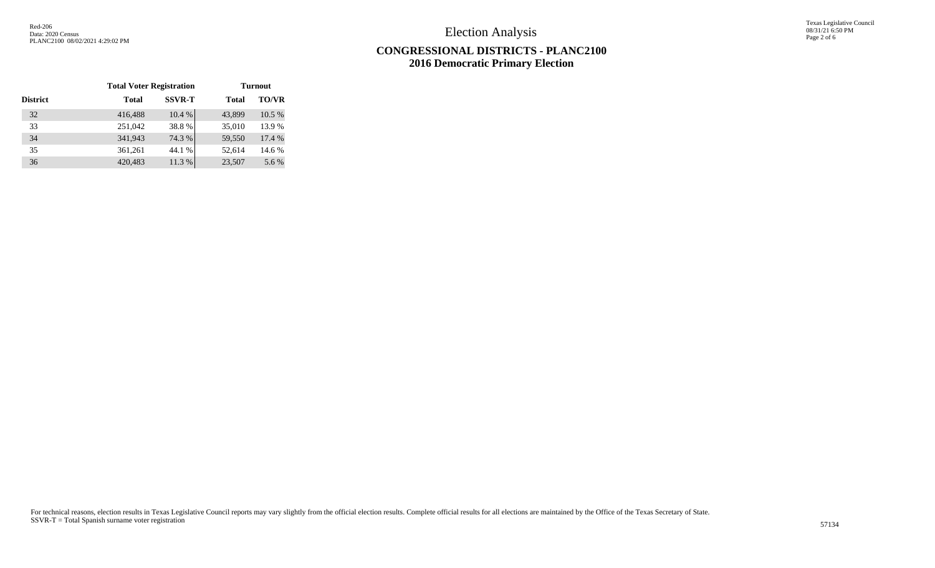Election Analysis

Texas Legislative Council 08/31/21 6:50 PM Page 2 of 6

# **CONGRESSIONAL DISTRICTS - PLANC2100 2016 Democratic Primary Election**

|                 | <b>Total Voter Registration</b> |               |              | <b>Turnout</b> |
|-----------------|---------------------------------|---------------|--------------|----------------|
| <b>District</b> | <b>Total</b>                    | <b>SSVR-T</b> | <b>Total</b> | <b>TO/VR</b>   |
| 32              | 416,488                         | 10.4 %        | 43,899       | 10.5%          |
| 33              | 251,042                         | 38.8%         | 35,010       | 13.9 %         |
| 34              | 341,943                         | 74.3 %        | 59,550       | 17.4 %         |
| 35              | 361,261                         | 44.1 %        | 52,614       | 14.6 %         |
| 36              | 420,483                         | 11.3%         | 23,507       | 5.6 %          |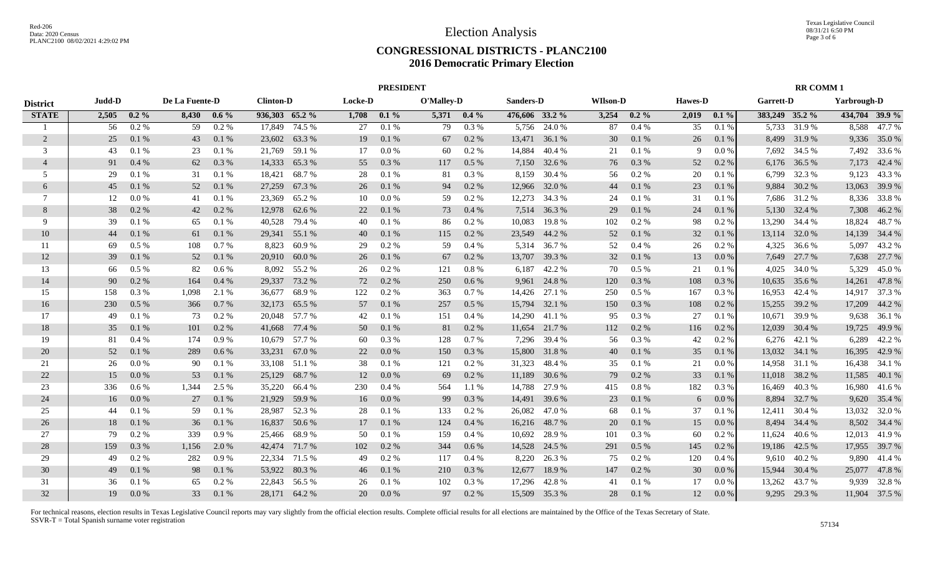## **CONGRESSIONAL DISTRICTS - PLANC2100 2016 Democratic Primary Election**

|                 |        |         |                |          |                  |                |         | <b>PRESIDENT</b> |            |         |                |        |                 | <b>RR COMM1</b> |                 |         |                  |               |             |                |
|-----------------|--------|---------|----------------|----------|------------------|----------------|---------|------------------|------------|---------|----------------|--------|-----------------|-----------------|-----------------|---------|------------------|---------------|-------------|----------------|
| <b>District</b> | Judd-D |         | De La Fuente-D |          | <b>Clinton-D</b> |                | Locke-D |                  | O'Malley-D |         | Sanders-D      |        | <b>WIlson-D</b> |                 | <b>Hawes-D</b>  |         | <b>Garrett-D</b> |               | Yarbrough-D |                |
| <b>STATE</b>    | 2,505  | $0.2\%$ | 8,430          | $0.6\%$  |                  | 936,303 65.2 % | 1,708   | $0.1\%$          | 5,371      | $0.4\%$ | 476,606 33.2 % |        | 3,254           | $0.2\%$         | 2,019           | $0.1\%$ | 383,249 35.2 %   |               |             | 434,704 39.9 % |
|                 | 56     | $0.2\%$ | 59             | 0.2 %    | 17,849           | 74.5 %         | 27      | 0.1%             | 79         | 0.3%    | 5,756          | 24.0 % | 87              | 0.4%            | $\overline{35}$ | 0.1%    | 5,733            | 31.9%         | 8,588       | 47.7 %         |
| 2               | 25     | 0.1 %   | 43             | 0.1 %    | 23,602           | 63.3%          | 19      | 0.1%             | 67         | 0.2 %   | 13,471         | 36.1 % | 30              | 0.1%            | 26              | 0.1%    |                  | 8,499 31.9 %  | 9,336       | 35.0%          |
| 3               | 43     | 0.1%    | 23             | 0.1%     | 21,769           | 59.1 %         | 17      | 0.0 %            | 60         | 0.2%    | 14,884         | 40.4 % | 21              | 0.1%            | 9               | 0.0 %   | 7,692            | 34.5 %        | 7,492       | 33.6 %         |
| $\overline{4}$  | 91     | 0.4%    | 62             | 0.3%     | 14,333           | 65.3%          | 55      | 0.3 %            | 117        | 0.5 %   | 7,150          | 32.6 % | 76              | 0.3%            | 52              | 0.2 %   |                  | 6,176 36.5 %  | 7,173       | 42.4 %         |
| 5               | 29     | 0.1%    | 31             | 0.1 %    | 18,421           | 68.7%          | 28      | 0.1%             | 81         | 0.3%    | 8,159          | 30.4 % | 56              | 0.2 %           | 20              | 0.1%    | 6,799            | 32.3 %        | 9,123       | 43.3%          |
| 6               | 45     | 0.1 %   | 52             | $0.1~\%$ | 27,259           | 67.3 %         | 26      | 0.1 %            | 94         | 0.2 %   | 12,966         | 32.0 % | 44              | $0.1~\%$        | 23              | 0.1%    | 9,884            | 30.2 %        | 13,063      | 39.9%          |
| $\tau$          | 12     | 0.0 %   | 41             | 0.1%     | 23,369           | 65.2%          | 10      | 0.0 %            | 59         | 0.2 %   | 12,273         | 34.3 % | 24              | 0.1%            | 31              | 0.1%    |                  | 7,686 31.2 %  | 8,336       | 33.8%          |
| 8               | 38     | 0.2 %   | 42             | 0.2 %    | 12,978           | 62.6 %         | 22      | 0.1%             | 73         | 0.4%    | 7,514          | 36.3%  | 29              | 0.1%            | 24              | 0.1%    |                  | 5,130 32.4 %  | 7,308       | 46.2%          |
| 9               | 39     | 0.1%    | 65             | 0.1%     | 40,528           | 79.4 %         | 40      | 0.1%             | 86         | 0.2%    | 10,083         | 19.8%  | 102             | 0.2 %           | 98              | 0.2 %   | 13,290           | 34.4 %        | 18,824      | 48.7%          |
| 10              | 44     | 0.1 %   | 61             | 0.1%     | 29,341           | 55.1 %         | 40      | 0.1%             | 115        | 0.2%    | 23,549         | 44.2 % | 52              | $0.1\ \%$       | 32              | 0.1%    | 13,114           | 32.0 %        | 14,139      | 34.4 %         |
| 11              | 69     | 0.5%    | 108            | 0.7%     | 8,823            | 60.9%          | 29      | 0.2%             | 59         | 0.4%    | 5,314          | 36.7%  | 52              | 0.4%            | 26              | 0.2 %   | 4,325            | 36.6 %        | 5,097       | 43.2%          |
| 12              | 39     | 0.1%    | 52             | 0.1%     | 20,910           | 60.0%          | 26      | 0.1%             | 67         | 0.2%    | 13,707         | 39.3 % | 32              | 0.1%            | 13              | 0.0 %   | 7,649            | 27.7 %        | 7,638       | 27.7 %         |
| 13              | 66     | 0.5 %   | 82             | 0.6 %    | 8,092            | 55.2%          | 26      | 0.2%             | 121        | 0.8%    | 6,187          | 42.2 % | 70              | 0.5%            | 21              | 0.1%    | 4,025            | 34.0 %        | 5,329       | 45.0%          |
| 14              | 90     | 0.2 %   | 164            | 0.4%     | 29,337           | 73.2 %         | 72      | 0.2 %            | 250        | 0.6 %   | 9,961          | 24.8%  | 120             | $0.3\ \%$       | 108             | 0.3%    | 10,635           | 35.6 %        | 14,261      | 47.8%          |
| 15              | 158    | 0.3%    | 1,098          | 2.1%     | 36,677           | 68.9%          | 122     | 0.2%             | 363        | 0.7%    | 14,426         | 27.1 % | 250             | 0.5 %           | 167             | 0.3%    | 16,953           | 42.4 %        | 14,917      | 37.3 %         |
| 16              | 230    | 0.5%    | 366            | 0.7%     | 32,173           | 65.5 %         | 57      | 0.1%             | 257        | 0.5%    | 15,794         | 32.1 % | 150             | 0.3%            | 108             | 0.2 %   | 15,255           | 39.2 %        | 17,209      | 44.2 %         |
| 17              | 49     | 0.1%    | 73             | $0.2 \%$ | 20,048           | 57.7 %         | 42      | 0.1%             | 151        | 0.4%    | 14,290         | 41.1 % | 95              | 0.3%            | 27              | 0.1%    | 10,671           | 39.9%         | 9,638       | 36.1 %         |
| 18              | 35     | 0.1 %   | 101            | 0.2 %    | 41,668           | 77.4 %         | 50      | 0.1%             | 81         | 0.2%    | 11,654         | 21.7 % | 112             | 0.2 %           | 116             | 0.2 %   | 12,039           | 30.4 %        | 19,725      | 49.9%          |
| 19              | 81     | 0.4%    | 174            | 0.9 %    | 10,679           | 57.7 %         | 60      | 0.3%             | 128        | 0.7%    | 7,296          | 39.4 % | 56              | $0.3~\%$        | 42              | 0.2 %   | 6,276            | 42.1 %        | 6,289       | 42.2 %         |
| 20              | 52     | 0.1 %   | 289            | 0.6 %    | 33,231           | 67.0%          | 22      | 0.0 %            | 150        | 0.3 %   | 15,800         | 31.8%  | 40              | 0.1%            | 35              | 0.1%    | 13,032           | 34.1 %        | 16,395      | 42.9%          |
| 21              | 26     | 0.0 %   | 90             | 0.1%     | 33,108           | 51.1 %         | 38      | 0.1%             | 121        | 0.2%    | 31,323         | 48.4%  | 35              | 0.1%            | 21              | 0.0 %   |                  | 14,958 31.1 % | 16,438      | 34.1 %         |
| 22              | 15     | 0.0 %   | 53             | 0.1%     | 25,129           | 68.7%          | 12      | 0.0 %            | 69         | 0.2%    | 11,189         | 30.6%  | 79              | $0.2~\%$        | 33              | 0.1%    | 11,018           | 38.2%         | 11,585      | 40.1 %         |
| 23              | 336    | 0.6 %   | 1,344          | 2.5 %    | 35,220           | 66.4%          | 230     | $0.4\%$          | 564        | 1.1%    | 14,788         | 27.9 % | 415             | $0.8\%$         | 182             | 0.3%    | 16,469           | 40.3%         | 16,980      | 41.6%          |
| 24              | 16     | 0.0 %   | 27             | $0.1~\%$ | 21,929           | 59.9%          | 16      | 0.0 %            | 99         | 0.3%    | 14,491         | 39.6%  | 23              | $0.1\ \%$       | 6               | 0.0 %   | 8,894            | 32.7 %        | 9,620       | 35.4 %         |
| 25              | 44     | 0.1%    | 59             | 0.1 %    | 28,987           | 52.3 %         | 28      | 0.1%             | 133        | 0.2 %   | 26,082         | 47.0%  | 68              | 0.1%            | 37              | 0.1%    | 12,411           | 30.4 %        | 13,032      | 32.0 %         |
| 26              | 18     | 0.1 %   | 36             | 0.1%     | 16,837           | 50.6 %         | 17      | 0.1%             | 124        | 0.4%    | 16,216         | 48.7%  | 20              | 0.1%            | 15              | 0.0 %   | 8,494            | 34.4 %        | 8,502       | 34.4 %         |
| 27              | 79     | 0.2%    | 339            | 0.9 %    | 25,466           | 68.9%          | 50      | 0.1%             | 159        | 0.4%    | 10,692         | 28.9%  | 101             | $0.3~\%$        | 60              | 0.2 %   | 11,624           | 40.6 %        | 12,013      | 41.9%          |
| 28              | 159    | 0.3%    | 1,156          | 2.0 %    | 42,474           | 71.7 %         | 102     | 0.2 %            | 344        | 0.6%    | 14,528         | 24.5 % | 291             | 0.5%            | 145             | 0.2 %   | 19,186           | 42.5 %        | 17,955      | 39.7 %         |
| 29              | 49     | $0.2\%$ | 282            | 0.9%     | 22,334           | 71.5 %         | 49      | 0.2%             | 117        | 0.4%    | 8,220          | 26.3%  | 75              | 0.2 %           | 120             | 0.4%    | 9,610            | 40.2 %        | 9,890       | 41.4 %         |
| 30              | 49     | 0.1 %   | 98             | 0.1 %    | 53,922           | 80.3%          | 46      | 0.1%             | 210        | 0.3%    | 12,677         | 18.9%  | 147             | $0.2~\%$        | 30              | 0.0 %   | 15,944           | 30.4 %        | 25,077      | 47.8%          |
| 31              | 36     | 0.1%    | 65             | 0.2 %    | 22,843           | 56.5 %         | 26      | 0.1%             | 102        | 0.3%    | 17,296         | 42.8%  | 41              | 0.1%            | 17              | 0.0 %   | 13,262           | 43.7%         | 9.939       | 32.8%          |
| 32              | 19     | $0.0\%$ | 33             | 0.1%     |                  | 28,171 64.2 %  | 20      | 0.0 %            | 97         | 0.2 %   | 15,509         | 35.3 % | 28              | 0.1%            | 12              | 0.0 %   |                  | 9,295 29.3 %  |             | 11,904 37.5 %  |
|                 |        |         |                |          |                  |                |         |                  |            |         |                |        |                 |                 |                 |         |                  |               |             |                |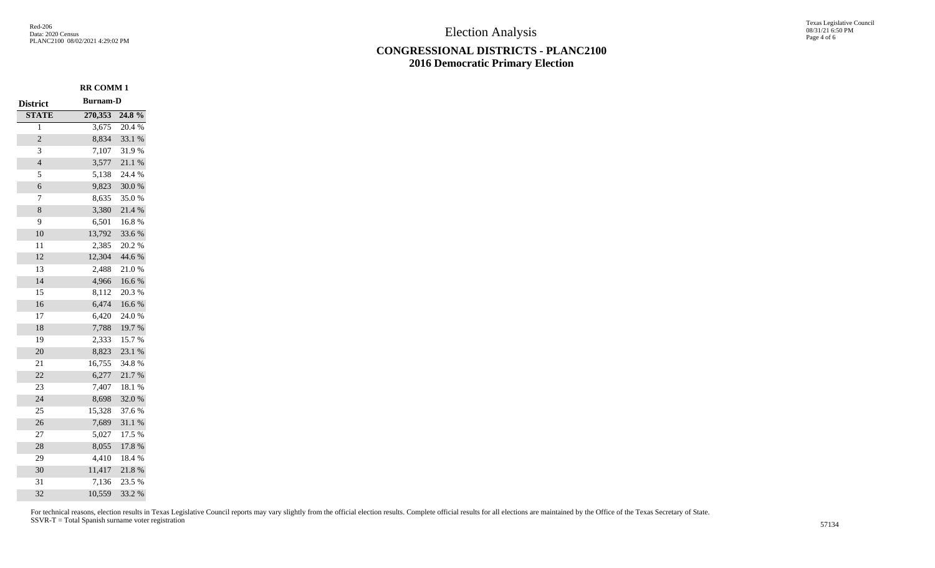#### Texas Legislative Council 08/31/21 6:50 PM Page 4 of 6

### **CONGRESSIONAL DISTRICTS - PLANC2100 2016 Democratic Primary Election**

|                 | <b>RR COMM1</b> |        |  |  |  |  |  |
|-----------------|-----------------|--------|--|--|--|--|--|
| <b>District</b> | <b>Burnam-D</b> |        |  |  |  |  |  |
| <b>STATE</b>    | 270,353         | 24.8 % |  |  |  |  |  |
| $\mathbf{1}$    | 3,675           | 20.4 % |  |  |  |  |  |
| $\sqrt{2}$      | 8,834           | 33.1 % |  |  |  |  |  |
| 3               | 7,107           | 31.9%  |  |  |  |  |  |
| $\overline{4}$  | 3,577           | 21.1 % |  |  |  |  |  |
| 5               | 5,138           | 24.4 % |  |  |  |  |  |
| 6               | 9,823           | 30.0%  |  |  |  |  |  |
| 7               | 8,635           | 35.0%  |  |  |  |  |  |
| 8               | 3,380           | 21.4 % |  |  |  |  |  |
| 9               | 6,501           | 16.8%  |  |  |  |  |  |
| 10              | 13,792          | 33.6%  |  |  |  |  |  |
| 11              | 2,385           | 20.2 % |  |  |  |  |  |
| 12              | 12,304          | 44.6 % |  |  |  |  |  |
| 13              | 2,488           | 21.0%  |  |  |  |  |  |
| 14              | 4,966           | 16.6%  |  |  |  |  |  |
| 15              | 8,112           | 20.3%  |  |  |  |  |  |
| 16              | 6,474           | 16.6%  |  |  |  |  |  |
| 17              | 6,420           | 24.0%  |  |  |  |  |  |
| 18              | 7,788           | 19.7%  |  |  |  |  |  |
| 19              | 2,333           | 15.7 % |  |  |  |  |  |
| 20              | 8,823           | 23.1 % |  |  |  |  |  |
| 21              | 16,755          | 34.8%  |  |  |  |  |  |
| 22              | 6,277           | 21.7%  |  |  |  |  |  |
| 23              | 7,407           | 18.1%  |  |  |  |  |  |
| 24              | 8,698           | 32.0%  |  |  |  |  |  |
| 25              | 15,328          | 37.6%  |  |  |  |  |  |
| 26              | 7,689           | 31.1 % |  |  |  |  |  |
| 27              | 5,027           | 17.5 % |  |  |  |  |  |
| 28              | 8,055           | 17.8 % |  |  |  |  |  |
| 29              | 4,410           | 18.4 % |  |  |  |  |  |
| 30              | 11,417          | 21.8 % |  |  |  |  |  |
| 31              | 7,136           | 23.5 % |  |  |  |  |  |
| 32              | 10,559          | 33.2 % |  |  |  |  |  |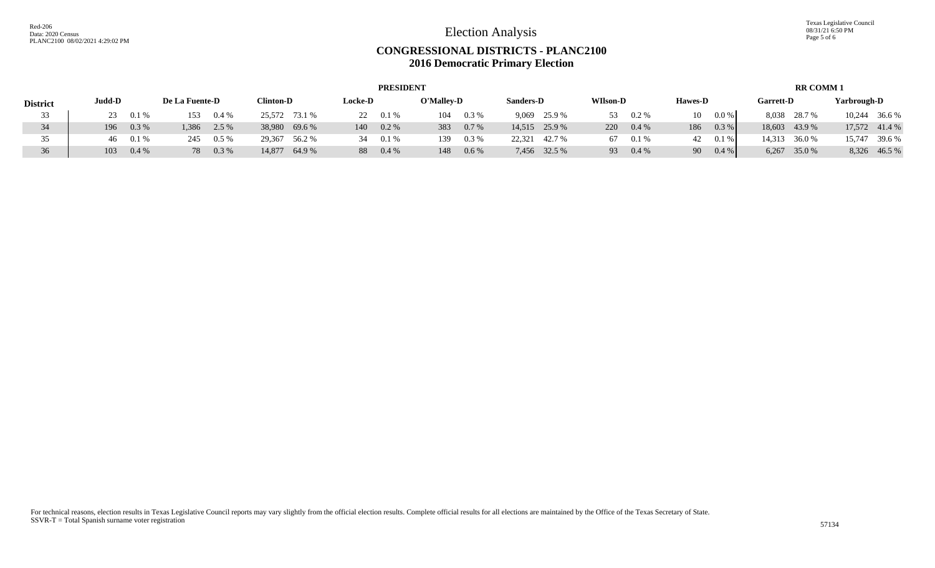Election Analysis

Texas Legislative Council 08/31/21 6:50 PM Page 5 of 6

## **CONGRESSIONAL DISTRICTS - PLANC2100 2016 Democratic Primary Election**

|                 |        |          |                |          |                  |               |                | <b>PRESIDENT</b> |            |         |           |                |                 |         |                |         |                  | <b>RR COMM1</b> |             |               |
|-----------------|--------|----------|----------------|----------|------------------|---------------|----------------|------------------|------------|---------|-----------|----------------|-----------------|---------|----------------|---------|------------------|-----------------|-------------|---------------|
| <b>District</b> | Judd-D |          | De La Fuente-D |          | <b>Clinton-D</b> |               | <b>Locke-D</b> |                  | O'Malley-D |         | Sanders-D |                | <b>WIIson-D</b> |         | <b>Hawes-D</b> |         | <b>Garrett-D</b> |                 | Yarbrough-D |               |
| 33              |        | 23 0.1 % | 153            | $0.4\%$  |                  | 25,572 73.1 % | 22             | 0.1%             | 104        | $0.3\%$ |           | $9,069$ 25.9 % | 53              | $0.2\%$ | 10             | $0.0\%$ | 8,038            | 28.7 %          | 10.244      | 36.6 %        |
| 34              | 196    | $0.3\%$  | 1.386          | 2.5 %    |                  | 38,980 69.6 % | 140            | $0.2\%$          | 383        | 0.7%    |           | 14,515 25.9 %  | 220             | 0.4%    | 186            | $0.3\%$ | 18,603           | 43.9 %          |             | 17,572 41.4 % |
| 35              | 46     | 0.1%     | 245            | $0.5\%$  | 29,367           | 56.2 %        | 34             | $0.1\%$          | 139        | $0.3\%$ | 22,321    | 42.7 %         | 67              | 0.1%    | 42             | 0.1%    | 14,313 36.0 %    |                 | 15.747      | 39.6 %        |
| 36              | 103    | $0.4\%$  |                | 78 0.3 % |                  | 14,877 64.9 % | 88             | $0.4\%$          | 148        | $0.6\%$ |           | 7,456 32.5 %   | 93              | $0.4\%$ | 90             | $0.4\%$ | 6,267            | 35.0 %          |             | 8,326 46.5 %  |